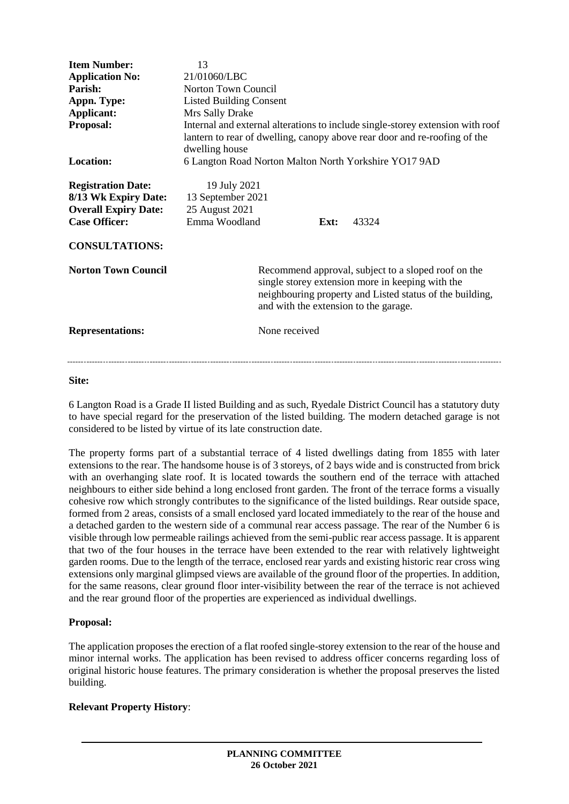| <b>Item Number:</b><br><b>Application No:</b><br>Parish:<br>Appn. Type:<br>Applicant:<br>Proposal:                                | 13<br>21/01060/LBC<br>Norton Town Council<br><b>Listed Building Consent</b><br>Mrs Sally Drake                                                       | Internal and external alterations to include single-storey extension with roof                                                                                                                               |
|-----------------------------------------------------------------------------------------------------------------------------------|------------------------------------------------------------------------------------------------------------------------------------------------------|--------------------------------------------------------------------------------------------------------------------------------------------------------------------------------------------------------------|
| Location:                                                                                                                         | lantern to rear of dwelling, canopy above rear door and re-roofing of the<br>dwelling house<br>6 Langton Road Norton Malton North Yorkshire YO17 9AD |                                                                                                                                                                                                              |
| <b>Registration Date:</b><br>8/13 Wk Expiry Date:<br><b>Overall Expiry Date:</b><br><b>Case Officer:</b><br><b>CONSULTATIONS:</b> | 19 July 2021<br>13 September 2021<br>25 August 2021<br>Emma Woodland                                                                                 | 43324<br>Ext:                                                                                                                                                                                                |
| <b>Norton Town Council</b>                                                                                                        |                                                                                                                                                      | Recommend approval, subject to a sloped roof on the<br>single storey extension more in keeping with the<br>neighbouring property and Listed status of the building,<br>and with the extension to the garage. |
| <b>Representations:</b>                                                                                                           |                                                                                                                                                      | None received                                                                                                                                                                                                |

### **Site:**

6 Langton Road is a Grade II listed Building and as such, Ryedale District Council has a statutory duty to have special regard for the preservation of the listed building. The modern detached garage is not considered to be listed by virtue of its late construction date.

The property forms part of a substantial terrace of 4 listed dwellings dating from 1855 with later extensions to the rear. The handsome house is of 3 storeys, of 2 bays wide and is constructed from brick with an overhanging slate roof. It is located towards the southern end of the terrace with attached neighbours to either side behind a long enclosed front garden. The front of the terrace forms a visually cohesive row which strongly contributes to the significance of the listed buildings. Rear outside space, formed from 2 areas, consists of a small enclosed yard located immediately to the rear of the house and a detached garden to the western side of a communal rear access passage. The rear of the Number 6 is visible through low permeable railings achieved from the semi-public rear access passage. It is apparent that two of the four houses in the terrace have been extended to the rear with relatively lightweight garden rooms. Due to the length of the terrace, enclosed rear yards and existing historic rear cross wing extensions only marginal glimpsed views are available of the ground floor of the properties. In addition, for the same reasons, clear ground floor inter-visibility between the rear of the terrace is not achieved and the rear ground floor of the properties are experienced as individual dwellings.

# **Proposal:**

The application proposes the erection of a flat roofed single-storey extension to the rear of the house and minor internal works. The application has been revised to address officer concerns regarding loss of original historic house features. The primary consideration is whether the proposal preserves the listed building.

# **Relevant Property History**: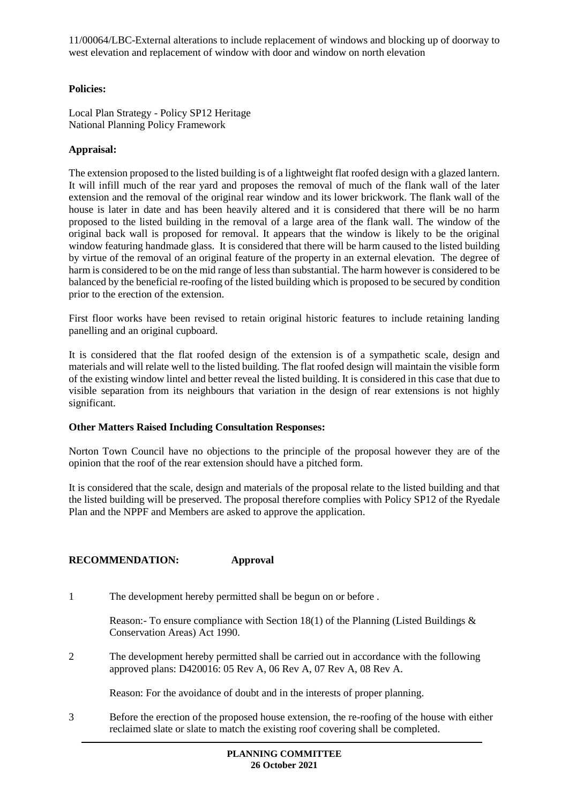11/00064/LBC-External alterations to include replacement of windows and blocking up of doorway to west elevation and replacement of window with door and window on north elevation

# **Policies:**

Local Plan Strategy - Policy SP12 Heritage National Planning Policy Framework

# **Appraisal:**

The extension proposed to the listed building is of a lightweight flat roofed design with a glazed lantern. It will infill much of the rear yard and proposes the removal of much of the flank wall of the later extension and the removal of the original rear window and its lower brickwork. The flank wall of the house is later in date and has been heavily altered and it is considered that there will be no harm proposed to the listed building in the removal of a large area of the flank wall. The window of the original back wall is proposed for removal. It appears that the window is likely to be the original window featuring handmade glass. It is considered that there will be harm caused to the listed building by virtue of the removal of an original feature of the property in an external elevation. The degree of harm is considered to be on the mid range of less than substantial. The harm however is considered to be balanced by the beneficial re-roofing of the listed building which is proposed to be secured by condition prior to the erection of the extension.

First floor works have been revised to retain original historic features to include retaining landing panelling and an original cupboard.

It is considered that the flat roofed design of the extension is of a sympathetic scale, design and materials and will relate well to the listed building. The flat roofed design will maintain the visible form of the existing window lintel and better reveal the listed building. It is considered in this case that due to visible separation from its neighbours that variation in the design of rear extensions is not highly significant.

# **Other Matters Raised Including Consultation Responses:**

Norton Town Council have no objections to the principle of the proposal however they are of the opinion that the roof of the rear extension should have a pitched form.

It is considered that the scale, design and materials of the proposal relate to the listed building and that the listed building will be preserved. The proposal therefore complies with Policy SP12 of the Ryedale Plan and the NPPF and Members are asked to approve the application.

# **RECOMMENDATION: Approval**

1 The development hereby permitted shall be begun on or before .

Reason:- To ensure compliance with Section 18(1) of the Planning (Listed Buildings & Conservation Areas) Act 1990.

2 The development hereby permitted shall be carried out in accordance with the following approved plans: D420016: 05 Rev A, 06 Rev A, 07 Rev A, 08 Rev A.

Reason: For the avoidance of doubt and in the interests of proper planning.

3 Before the erection of the proposed house extension, the re-roofing of the house with either reclaimed slate or slate to match the existing roof covering shall be completed.